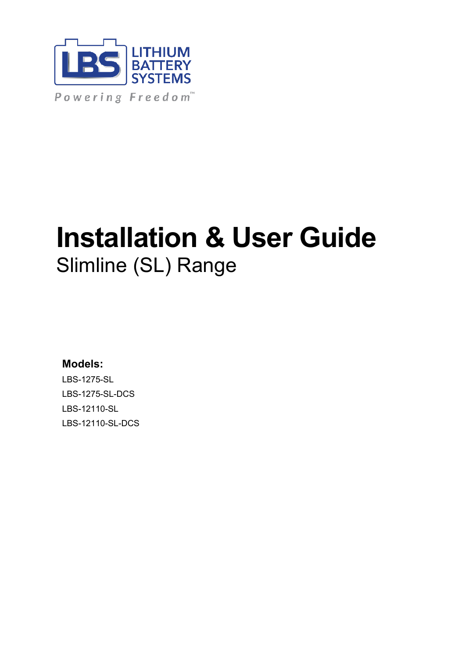

# **Installation & User Guide** Slimline (SL) Range

### **Models:**

LBS-1275-SL LBS-1275-SL-DCS LBS-12110-SL LBS-12110-SL-DCS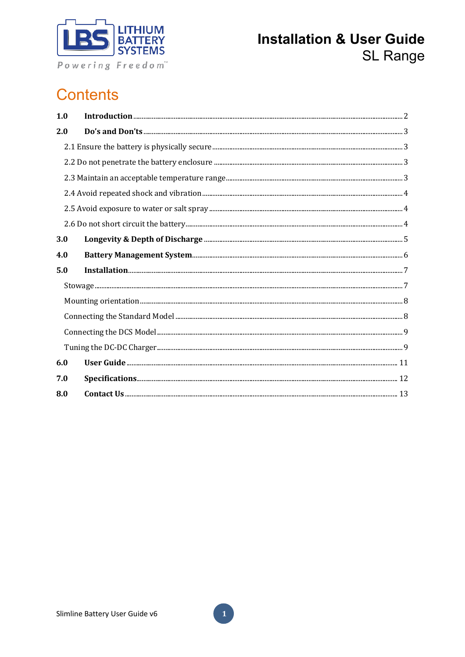

# **Contents**

| 1.0 |  |
|-----|--|
| 2.0 |  |
|     |  |
|     |  |
|     |  |
|     |  |
|     |  |
|     |  |
| 3.0 |  |
| 4.0 |  |
| 5.0 |  |
|     |  |
|     |  |
|     |  |
|     |  |
|     |  |
| 6.0 |  |
| 7.0 |  |
| 8.0 |  |

 $\mathbf{1}$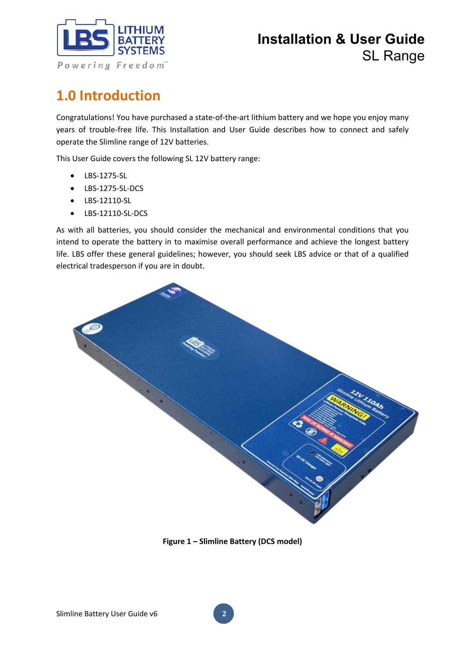

# **1.0 Introduction**

Congratulations! You have purchased a state-of-the-art lithium battery and we hope you enjoy many years of trouble-free life. This Installation and User Guide describes how to connect and safely operate the Slimline range of 12V batteries.

This User Guide covers the following SL 12V battery range:

- LBS-1275-SL
- LBS-1275-SL-DCS
- LBS-12110-SL
- LBS-12110-SL-DCS

As with all batteries, you should consider the mechanical and environmental conditions that you intend to operate the battery in to maximise overall performance and achieve the longest battery life. LBS offer these general guidelines; however, you should seek LBS advice or that of a qualified electrical tradesperson if you are in doubt.



**Figure 1 – Slimline Battery (DCS model)**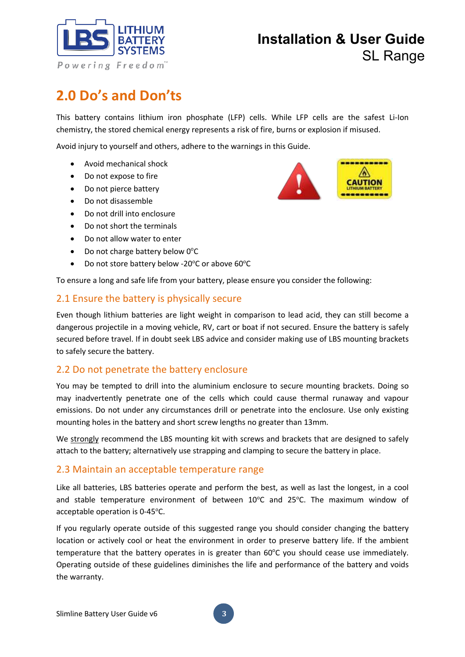

# **2.0 Do's and Don'ts**

This battery contains lithium iron phosphate (LFP) cells. While LFP cells are the safest Li-Ion chemistry, the stored chemical energy represents a risk of fire, burns or explosion if misused.

Avoid injury to yourself and others, adhere to the warnings in this Guide.

- Avoid mechanical shock
- Do not expose to fire
- Do not pierce battery
- Do not disassemble
- Do not drill into enclosure
- Do not short the terminals
- Do not allow water to enter
- Do not charge battery below  $0^{\circ}$ C
- Do not store battery below -20 $^{\circ}$ C or above 60 $^{\circ}$ C

To ensure a long and safe life from your battery, please ensure you consider the following:

#### 2.1 Ensure the battery is physically secure

Even though lithium batteries are light weight in comparison to lead acid, they can still become a dangerous projectile in a moving vehicle, RV, cart or boat if not secured. Ensure the battery is safely secured before travel. If in doubt seek LBS advice and consider making use of LBS mounting brackets to safely secure the battery.

#### 2.2 Do not penetrate the battery enclosure

You may be tempted to drill into the aluminium enclosure to secure mounting brackets. Doing so may inadvertently penetrate one of the cells which could cause thermal runaway and vapour emissions. Do not under any circumstances drill or penetrate into the enclosure. Use only existing mounting holes in the battery and short screw lengths no greater than 13mm.

We strongly recommend the LBS mounting kit with screws and brackets that are designed to safely attach to the battery; alternatively use strapping and clamping to secure the battery in place.

#### 2.3 Maintain an acceptable temperature range

Like all batteries, LBS batteries operate and perform the best, as well as last the longest, in a cool and stable temperature environment of between  $10^{\circ}$ C and  $25^{\circ}$ C. The maximum window of acceptable operation is 0-45°C.

If you regularly operate outside of this suggested range you should consider changing the battery location or actively cool or heat the environment in order to preserve battery life. If the ambient temperature that the battery operates in is greater than 60°C you should cease use immediately. Operating outside of these guidelines diminishes the life and performance of the battery and voids the warranty.

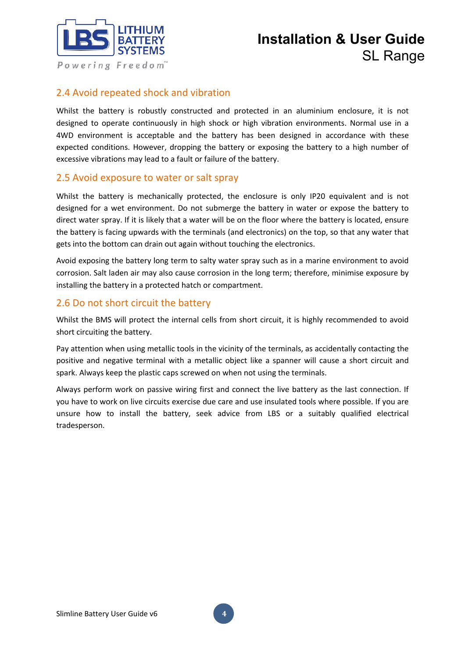

### 2.4 Avoid repeated shock and vibration

Whilst the battery is robustly constructed and protected in an aluminium enclosure, it is not designed to operate continuously in high shock or high vibration environments. Normal use in a 4WD environment is acceptable and the battery has been designed in accordance with these expected conditions. However, dropping the battery or exposing the battery to a high number of excessive vibrations may lead to a fault or failure of the battery.

#### 2.5 Avoid exposure to water or salt spray

Whilst the battery is mechanically protected, the enclosure is only IP20 equivalent and is not designed for a wet environment. Do not submerge the battery in water or expose the battery to direct water spray. If it is likely that a water will be on the floor where the battery is located, ensure the battery is facing upwards with the terminals (and electronics) on the top, so that any water that gets into the bottom can drain out again without touching the electronics.

Avoid exposing the battery long term to salty water spray such as in a marine environment to avoid corrosion. Salt laden air may also cause corrosion in the long term; therefore, minimise exposure by installing the battery in a protected hatch or compartment.

#### 2.6 Do not short circuit the battery

Whilst the BMS will protect the internal cells from short circuit, it is highly recommended to avoid short circuiting the battery.

Pay attention when using metallic tools in the vicinity of the terminals, as accidentally contacting the positive and negative terminal with a metallic object like a spanner will cause a short circuit and spark. Always keep the plastic caps screwed on when not using the terminals.

Always perform work on passive wiring first and connect the live battery as the last connection. If you have to work on live circuits exercise due care and use insulated tools where possible. If you are unsure how to install the battery, seek advice from LBS or a suitably qualified electrical tradesperson.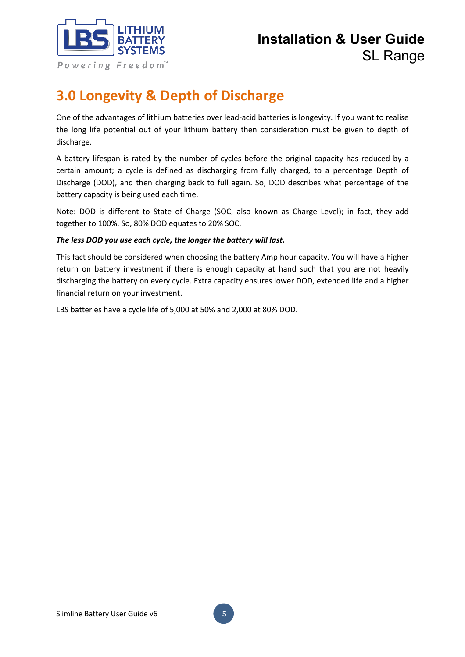

## **3.0 Longevity & Depth of Discharge**

One of the advantages of lithium batteries over lead-acid batteries is longevity. If you want to realise the long life potential out of your lithium battery then consideration must be given to depth of discharge.

A battery lifespan is rated by the number of cycles before the original capacity has reduced by a certain amount; a cycle is defined as discharging from fully charged, to a percentage Depth of Discharge (DOD), and then charging back to full again. So, DOD describes what percentage of the battery capacity is being used each time.

Note: DOD is different to State of Charge (SOC, also known as Charge Level); in fact, they add together to 100%. So, 80% DOD equates to 20% SOC.

#### *The less DOD you use each cycle, the longer the battery will last.*

This fact should be considered when choosing the battery Amp hour capacity. You will have a higher return on battery investment if there is enough capacity at hand such that you are not heavily discharging the battery on every cycle. Extra capacity ensures lower DOD, extended life and a higher financial return on your investment.

LBS batteries have a cycle life of 5,000 at 50% and 2,000 at 80% DOD.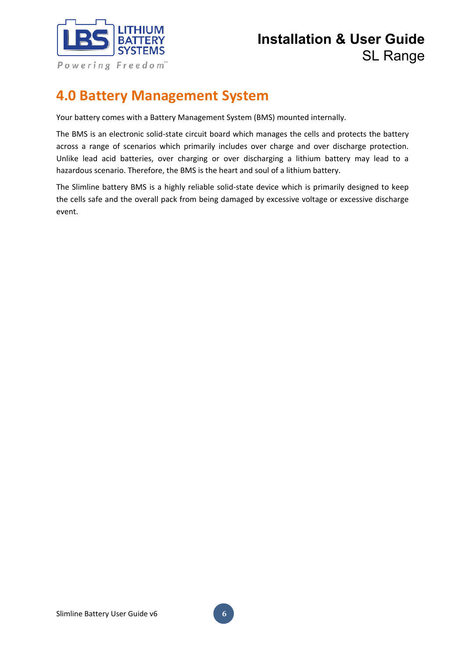

### **4.0 Battery Management System**

Your battery comes with a Battery Management System (BMS) mounted internally.

The BMS is an electronic solid-state circuit board which manages the cells and protects the battery across a range of scenarios which primarily includes over charge and over discharge protection. Unlike lead acid batteries, over charging or over discharging a lithium battery may lead to a hazardous scenario. Therefore, the BMS is the heart and soul of a lithium battery.

The Slimline battery BMS is a highly reliable solid-state device which is primarily designed to keep the cells safe and the overall pack from being damaged by excessive voltage or excessive discharge event.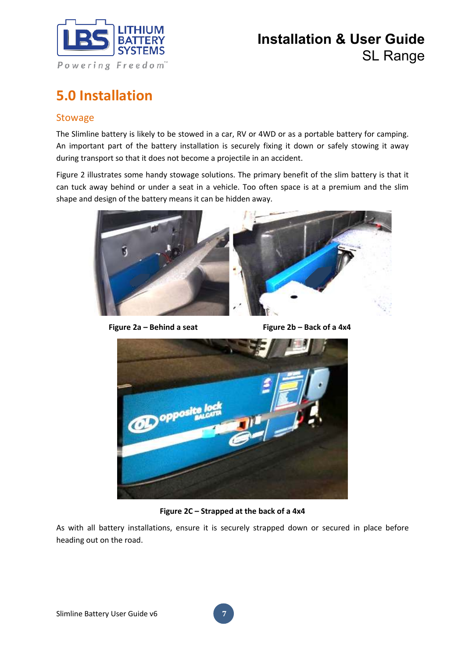

# **5.0 Installation**

#### **Stowage**

The Slimline battery is likely to be stowed in a car, RV or 4WD or as a portable battery for camping. An important part of the battery installation is securely fixing it down or safely stowing it away during transport so that it does not become a projectile in an accident.

Figure 2 illustrates some handy stowage solutions. The primary benefit of the slim battery is that it can tuck away behind or under a seat in a vehicle. Too often space is at a premium and the slim shape and design of the battery means it can be hidden away.



**Figure**  $2a - Behind$  a seat Figure  $2b - Back$  of a 4x4



**Figure 2C – Strapped at the back of a 4x4**

As with all battery installations, ensure it is securely strapped down or secured in place before heading out on the road.

**7**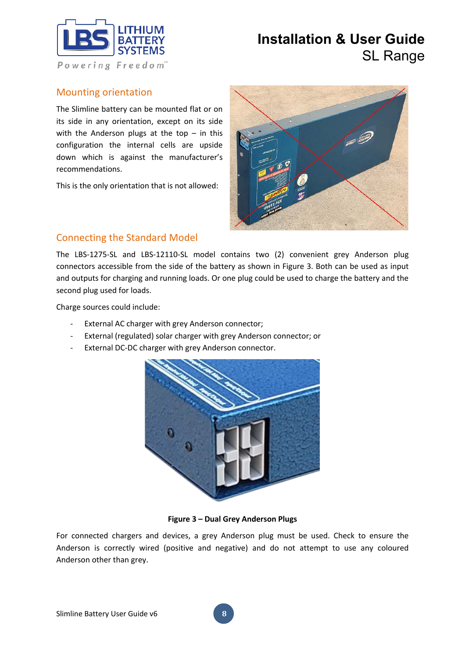

#### Mounting orientation

The Slimline battery can be mounted flat or on its side in any orientation, except on its side with the Anderson plugs at the top  $-$  in this configuration the internal cells are upside down which is against the manufacturer's recommendations.

This is the only orientation that is not allowed:



#### Connecting the Standard Model

The LBS-1275-SL and LBS-12110-SL model contains two (2) convenient grey Anderson plug connectors accessible from the side of the battery as shown in Figure 3. Both can be used as input and outputs for charging and running loads. Or one plug could be used to charge the battery and the second plug used for loads.

Charge sources could include:

- External AC charger with grey Anderson connector;
- External (regulated) solar charger with grey Anderson connector; or
- External DC-DC charger with grey Anderson connector.



**Figure 3 – Dual Grey Anderson Plugs**

For connected chargers and devices, a grey Anderson plug must be used. Check to ensure the Anderson is correctly wired (positive and negative) and do not attempt to use any coloured Anderson other than grey.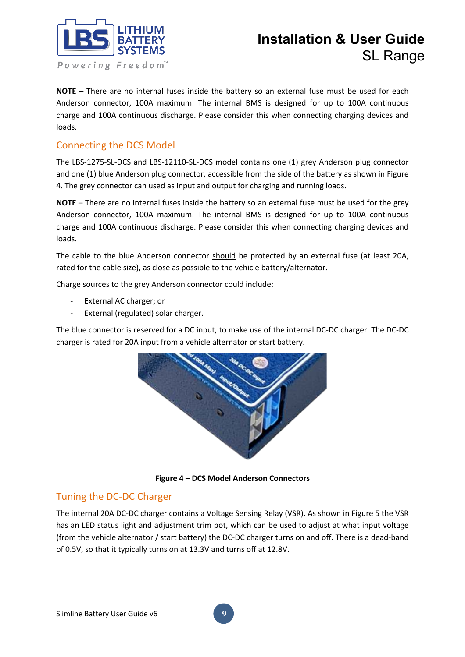

**NOTE** – There are no internal fuses inside the battery so an external fuse must be used for each Anderson connector, 100A maximum. The internal BMS is designed for up to 100A continuous charge and 100A continuous discharge. Please consider this when connecting charging devices and loads.

#### Connecting the DCS Model

The LBS-1275-SL-DCS and LBS-12110-SL-DCS model contains one (1) grey Anderson plug connector and one (1) blue Anderson plug connector, accessible from the side of the battery as shown in Figure 4. The grey connector can used as input and output for charging and running loads.

**NOTE** – There are no internal fuses inside the battery so an external fuse must be used for the grey Anderson connector, 100A maximum. The internal BMS is designed for up to 100A continuous charge and 100A continuous discharge. Please consider this when connecting charging devices and loads.

The cable to the blue Anderson connector should be protected by an external fuse (at least 20A, rated for the cable size), as close as possible to the vehicle battery/alternator.

Charge sources to the grey Anderson connector could include:

- External AC charger; or
- External (regulated) solar charger.

The blue connector is reserved for a DC input, to make use of the internal DC-DC charger. The DC-DC charger is rated for 20A input from a vehicle alternator or start battery.



**Figure 4 – DCS Model Anderson Connectors**

#### Tuning the DC-DC Charger

The internal 20A DC-DC charger contains a Voltage Sensing Relay (VSR). As shown in Figure 5 the VSR has an LED status light and adjustment trim pot, which can be used to adjust at what input voltage (from the vehicle alternator / start battery) the DC-DC charger turns on and off. There is a dead-band of 0.5V, so that it typically turns on at 13.3V and turns off at 12.8V.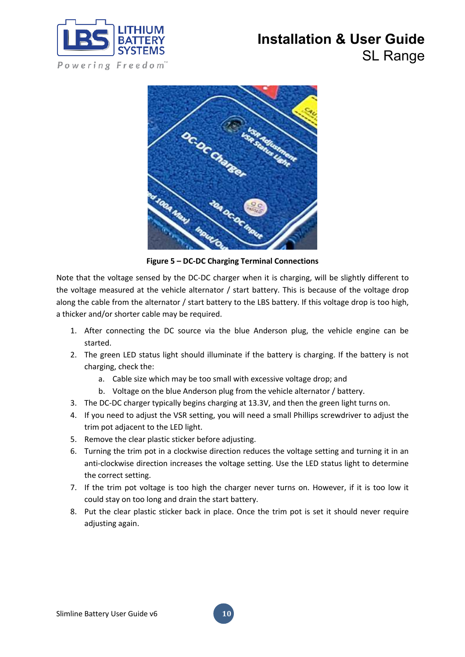



**Figure 5 – DC-DC Charging Terminal Connections**

Note that the voltage sensed by the DC-DC charger when it is charging, will be slightly different to the voltage measured at the vehicle alternator / start battery. This is because of the voltage drop along the cable from the alternator / start battery to the LBS battery. If this voltage drop is too high, a thicker and/or shorter cable may be required.

- 1. After connecting the DC source via the blue Anderson plug, the vehicle engine can be started.
- 2. The green LED status light should illuminate if the battery is charging. If the battery is not charging, check the:
	- a. Cable size which may be too small with excessive voltage drop; and
	- b. Voltage on the blue Anderson plug from the vehicle alternator / battery.
- 3. The DC-DC charger typically begins charging at 13.3V, and then the green light turns on.
- 4. If you need to adjust the VSR setting, you will need a small Phillips screwdriver to adjust the trim pot adjacent to the LED light.
- 5. Remove the clear plastic sticker before adjusting.
- 6. Turning the trim pot in a clockwise direction reduces the voltage setting and turning it in an anti-clockwise direction increases the voltage setting. Use the LED status light to determine the correct setting.
- 7. If the trim pot voltage is too high the charger never turns on. However, if it is too low it could stay on too long and drain the start battery.
- 8. Put the clear plastic sticker back in place. Once the trim pot is set it should never require adjusting again.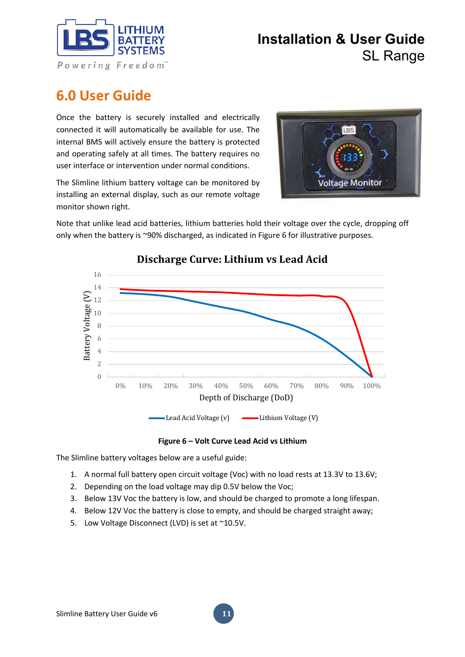

### **6.0 User Guide**

Once the battery is securely installed and electrically connected it will automatically be available for use. The internal BMS will actively ensure the battery is protected and operating safely at all times. The battery requires no user interface or intervention under normal conditions.





Note that unlike lead acid batteries, lithium batteries hold their voltage over the cycle, dropping off only when the battery is ~90% discharged, as indicated in Figure 6 for illustrative purposes.



### **Discharge Curve: Lithium vs Lead Acid**

**Figure 6 – Volt Curve Lead Acid vs Lithium**

The Slimline battery voltages below are a useful guide:

- 1. A normal full battery open circuit voltage (Voc) with no load rests at 13.3V to 13.6V;
- 2. Depending on the load voltage may dip 0.5V below the Voc;
- 3. Below 13V Voc the battery is low, and should be charged to promote a long lifespan.

**11**

- 4. Below 12V Voc the battery is close to empty, and should be charged straight away;
- 5. Low Voltage Disconnect (LVD) is set at ~10.5V.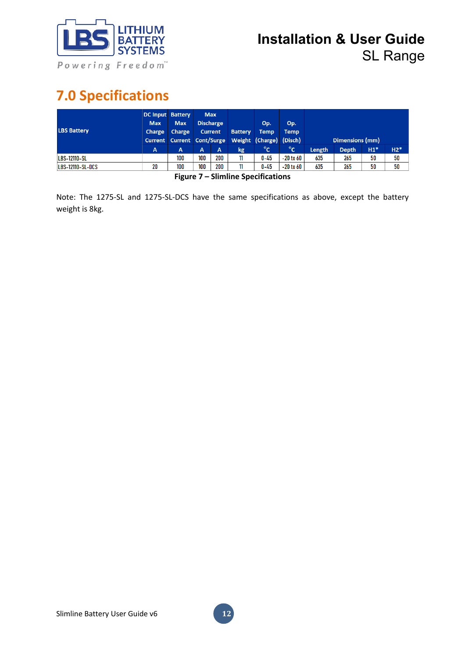

# **7.0 Specifications**

| <b>LBS Battery</b>  | <b>DC Input Battery</b><br><b>Max</b><br>Charge | <b>Max</b><br>Charge | <b>Max</b><br><b>Discharge</b><br><b>Current</b><br>Current Current Cont/Surge |                | <b>Battery</b> | Op.<br><b>Temp</b><br>Weight (Charge) (Disch) | Op.<br>Temp   |                 |              |       |       |
|---------------------|-------------------------------------------------|----------------------|--------------------------------------------------------------------------------|----------------|----------------|-----------------------------------------------|---------------|-----------------|--------------|-------|-------|
|                     |                                                 |                      |                                                                                |                |                |                                               |               | Dimensions (mm) |              |       |       |
|                     | A                                               | A                    | A                                                                              | $\overline{A}$ | kg             | $^{\circ}$ c                                  | $^{\circ}$ c  | Length          | <b>Depth</b> | $H1*$ | $H2*$ |
| <b>LBS-12110-SL</b> |                                                 | 100                  | 100                                                                            | 200            |                | $0 - 45$                                      | $-20$ to $60$ | 635             | 265          | 50    | 50    |
| LBS-12110-SL-DCS    | 20                                              | 100                  | 100                                                                            | 200            |                | $0 - 45$                                      | $-20$ to $60$ | 635             | 265          | 50    | 50    |

**Figure 7 – Slimline Specifications**

Note: The 1275-SL and 1275-SL-DCS have the same specifications as above, except the battery weight is 8kg.

**12**